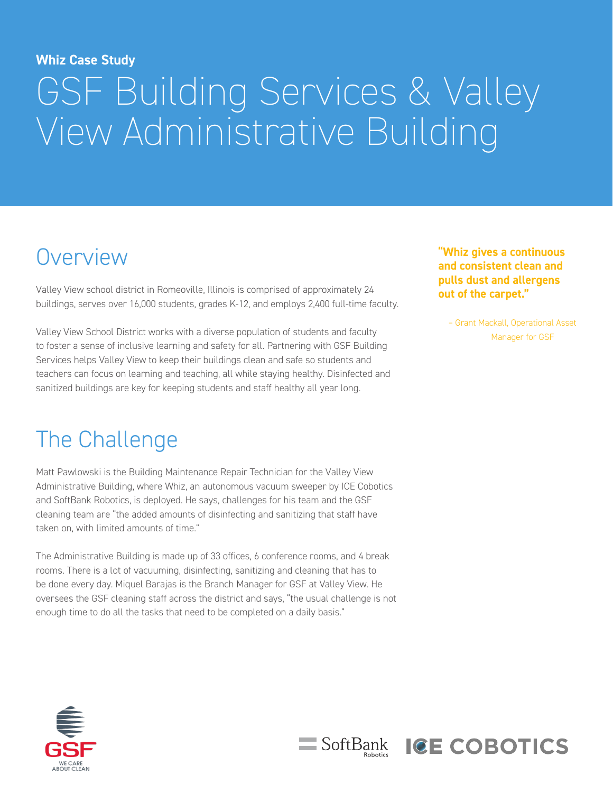#### **Whiz Case Study**

# GSF Building Services & Valley View Administrative Building

#### **Overview**

Valley View school district in Romeoville, Illinois is comprised of approximately 24 buildings, serves over 16,000 students, grades K-12, and employs 2,400 full-time faculty.

Valley View School District works with a diverse population of students and faculty to foster a sense of inclusive learning and safety for all. Partnering with GSF Building Services helps Valley View to keep their buildings clean and safe so students and teachers can focus on learning and teaching, all while staying healthy. Disinfected and sanitized buildings are key for keeping students and staff healthy all year long.

**"Whiz gives a continuous and consistent clean and pulls dust and allergens out of the carpet."**

– Grant Mackall, Operational Asset Manager for GSF

**ICE COBOTICS** 

#### The Challenge

Matt Pawlowski is the Building Maintenance Repair Technician for the Valley View Administrative Building, where Whiz, an autonomous vacuum sweeper by ICE Cobotics and SoftBank Robotics, is deployed. He says, challenges for his team and the GSF cleaning team are "the added amounts of disinfecting and sanitizing that staff have taken on, with limited amounts of time."

The Administrative Building is made up of 33 offices, 6 conference rooms, and 4 break rooms. There is a lot of vacuuming, disinfecting, sanitizing and cleaning that has to be done every day. Miquel Barajas is the Branch Manager for GSF at Valley View. He oversees the GSF cleaning staff across the district and says, "the usual challenge is not enough time to do all the tasks that need to be completed on a daily basis."

SoftBank